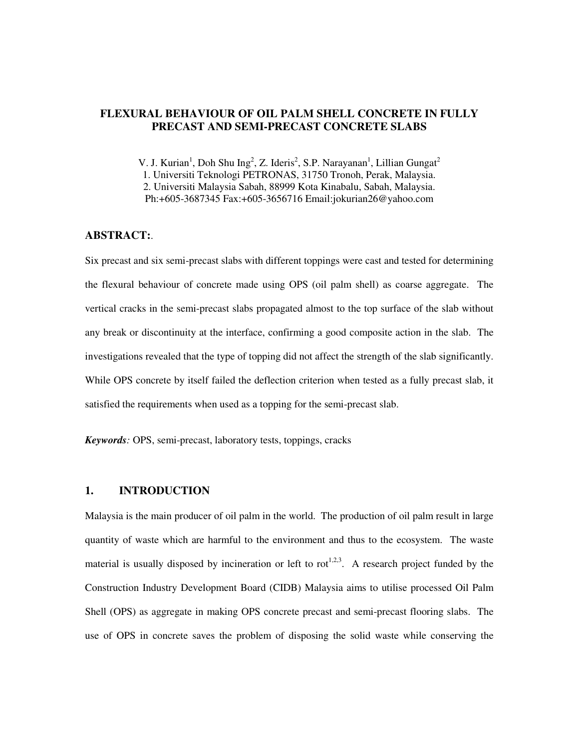## **FLEXURAL BEHAVIOUR OF OIL PALM SHELL CONCRETE IN FULLY PRECAST AND SEMI-PRECAST CONCRETE SLABS**

V. J. Kurian<sup>1</sup>, Doh Shu Ing<sup>2</sup>, Z. Ideris<sup>2</sup>, S.P. Narayanan<sup>1</sup>, Lillian Gungat<sup>2</sup> 1. Universiti Teknologi PETRONAS, 31750 Tronoh, Perak, Malaysia.

2. Universiti Malaysia Sabah, 88999 Kota Kinabalu, Sabah, Malaysia.

Ph:+605-3687345 Fax:+605-3656716 Email:jokurian26@yahoo.com

## **ABSTRACT:**.

Six precast and six semi-precast slabs with different toppings were cast and tested for determining the flexural behaviour of concrete made using OPS (oil palm shell) as coarse aggregate. The vertical cracks in the semi-precast slabs propagated almost to the top surface of the slab without any break or discontinuity at the interface, confirming a good composite action in the slab. The investigations revealed that the type of topping did not affect the strength of the slab significantly. While OPS concrete by itself failed the deflection criterion when tested as a fully precast slab, it satisfied the requirements when used as a topping for the semi-precast slab.

*Keywords:* OPS, semi-precast, laboratory tests, toppings, cracks

### **1. INTRODUCTION**

Malaysia is the main producer of oil palm in the world. The production of oil palm result in large quantity of waste which are harmful to the environment and thus to the ecosystem. The waste material is usually disposed by incineration or left to rot<sup>1,2,3</sup>. A research project funded by the Construction Industry Development Board (CIDB) Malaysia aims to utilise processed Oil Palm Shell (OPS) as aggregate in making OPS concrete precast and semi-precast flooring slabs. The use of OPS in concrete saves the problem of disposing the solid waste while conserving the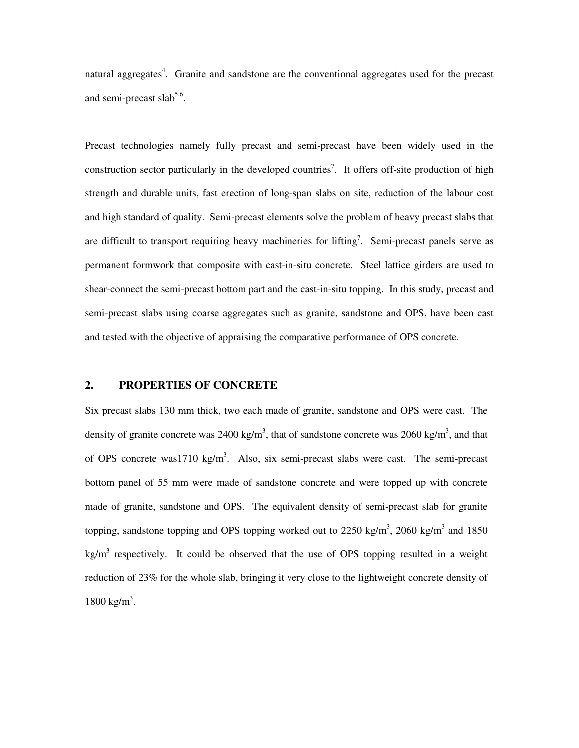natural aggregates<sup>4</sup>. Granite and sandstone are the conventional aggregates used for the precast and semi-precast slab<sup>5,6</sup>.

Precast technologies namely fully precast and semi-precast have been widely used in the construction sector particularly in the developed countries<sup>7</sup>. It offers off-site production of high strength and durable units, fast erection of long-span slabs on site, reduction of the labour cost and high standard of quality. Semi-precast elements solve the problem of heavy precast slabs that are difficult to transport requiring heavy machineries for lifting<sup>7</sup>. Semi-precast panels serve as permanent formwork that composite with cast-in-situ concrete. Steel lattice girders are used to shear-connect the semi-precast bottom part and the cast-in-situ topping. In this study, precast and semi-precast slabs using coarse aggregates such as granite, sandstone and OPS, have been cast and tested with the objective of appraising the comparative performance of OPS concrete.

### **2. PROPERTIES OF CONCRETE**

Six precast slabs 130 mm thick, two each made of granite, sandstone and OPS were cast. The density of granite concrete was 2400 kg/m<sup>3</sup>, that of sandstone concrete was 2060 kg/m<sup>3</sup>, and that of OPS concrete was1710 kg/m<sup>3</sup>. Also, six semi-precast slabs were cast. The semi-precast bottom panel of 55 mm were made of sandstone concrete and were topped up with concrete made of granite, sandstone and OPS. The equivalent density of semi-precast slab for granite topping, sandstone topping and OPS topping worked out to 2250 kg/m<sup>3</sup>, 2060 kg/m<sup>3</sup> and 1850  $kg/m<sup>3</sup>$  respectively. It could be observed that the use of OPS topping resulted in a weight reduction of 23% for the whole slab, bringing it very close to the lightweight concrete density of  $1800 \text{ kg/m}^3$ .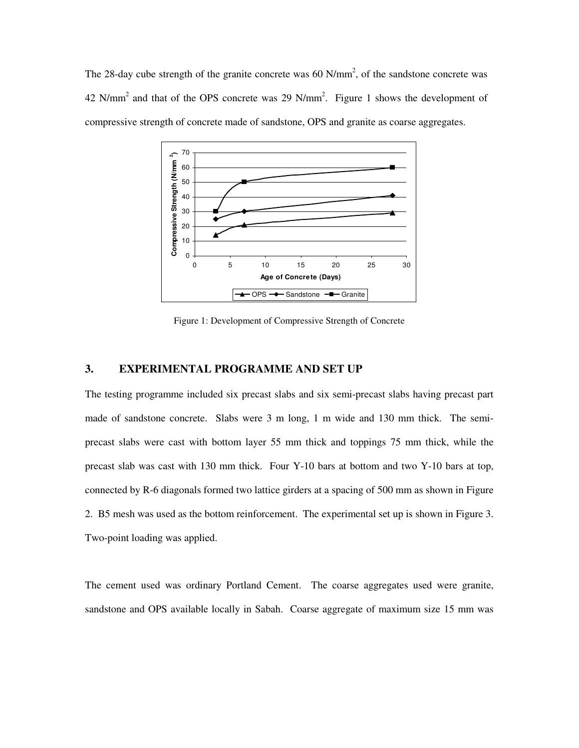The 28-day cube strength of the granite concrete was 60  $N/mm^2$ , of the sandstone concrete was  $42$  N/mm<sup>2</sup> and that of the OPS concrete was 29 N/mm<sup>2</sup>. Figure 1 shows the development of compressive strength of concrete made of sandstone, OPS and granite as coarse aggregates.



Figure 1: Development of Compressive Strength of Concrete

### **3. EXPERIMENTAL PROGRAMME AND SET UP**

The testing programme included six precast slabs and six semi-precast slabs having precast part made of sandstone concrete. Slabs were 3 m long, 1 m wide and 130 mm thick. The semiprecast slabs were cast with bottom layer 55 mm thick and toppings 75 mm thick, while the precast slab was cast with 130 mm thick. Four Y-10 bars at bottom and two Y-10 bars at top, connected by R-6 diagonals formed two lattice girders at a spacing of 500 mm as shown in Figure 2. B5 mesh was used as the bottom reinforcement. The experimental set up is shown in Figure 3. Two-point loading was applied.

The cement used was ordinary Portland Cement. The coarse aggregates used were granite, sandstone and OPS available locally in Sabah. Coarse aggregate of maximum size 15 mm was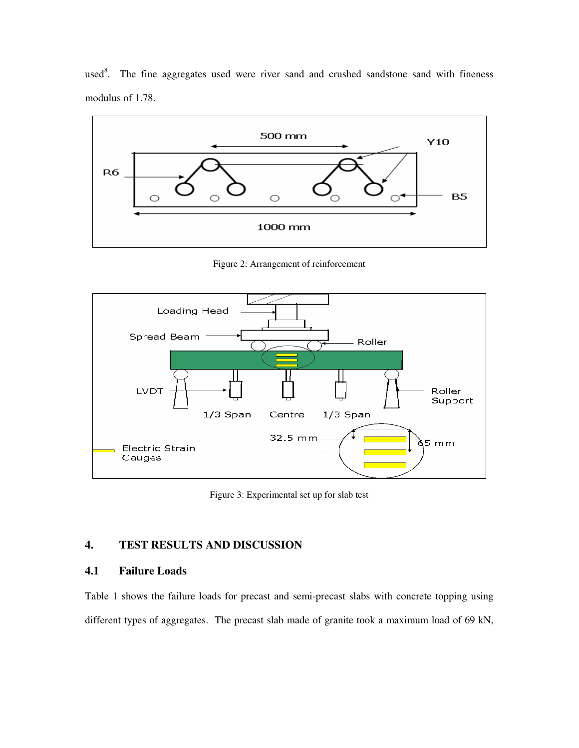used $8$ . The fine aggregates used were river sand and crushed sandstone sand with fineness modulus of 1.78.



Figure 2: Arrangement of reinforcement



Figure 3: Experimental set up for slab test

# **4. TEST RESULTS AND DISCUSSION**

## **4.1 Failure Loads**

Table 1 shows the failure loads for precast and semi-precast slabs with concrete topping using different types of aggregates. The precast slab made of granite took a maximum load of 69 kN,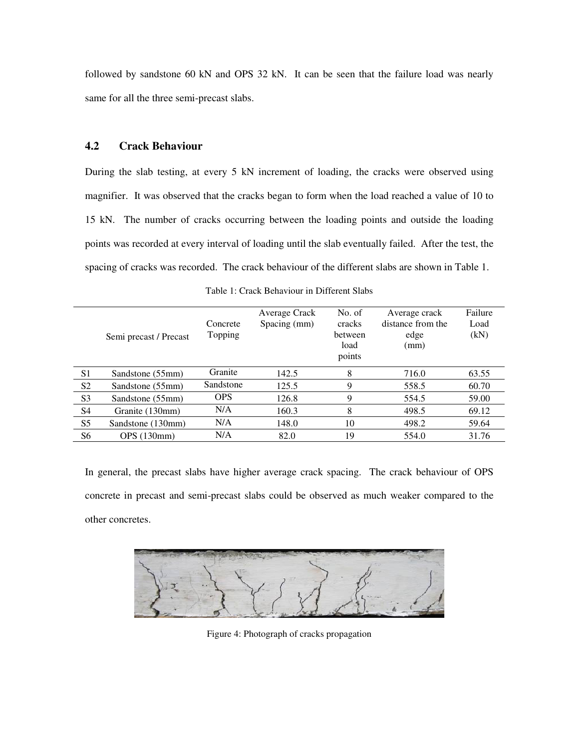followed by sandstone 60 kN and OPS 32 kN. It can be seen that the failure load was nearly same for all the three semi-precast slabs.

# **4.2 Crack Behaviour**

During the slab testing, at every 5 kN increment of loading, the cracks were observed using magnifier. It was observed that the cracks began to form when the load reached a value of 10 to 15 kN. The number of cracks occurring between the loading points and outside the loading points was recorded at every interval of loading until the slab eventually failed. After the test, the spacing of cracks was recorded. The crack behaviour of the different slabs are shown in Table 1.

|                | Semi precast / Precast | Concrete<br>Topping | Average Crack<br>Spacing (mm) | No. of<br>cracks<br>between<br>load<br>points | Average crack<br>distance from the<br>edge<br>(mm) | Failure<br>Load<br>(kN) |  |
|----------------|------------------------|---------------------|-------------------------------|-----------------------------------------------|----------------------------------------------------|-------------------------|--|
| S <sub>1</sub> | Sandstone (55mm)       | Granite             | 142.5                         | 8                                             | 716.0                                              | 63.55                   |  |
| S <sub>2</sub> | Sandstone (55mm)       | Sandstone           | 125.5                         | 9                                             | 558.5                                              | 60.70                   |  |
| S <sub>3</sub> | Sandstone (55mm)       | <b>OPS</b>          | 126.8                         | 9                                             | 554.5                                              | 59.00                   |  |
| S4             | Granite (130mm)        | N/A                 | 160.3                         | 8                                             | 498.5                                              | 69.12                   |  |
| S <sub>5</sub> | Sandstone (130mm)      | N/A                 | 148.0                         | 10                                            | 498.2                                              | 59.64                   |  |
| S <sub>6</sub> | <b>OPS</b> (130mm)     | N/A                 | 82.0                          | 19                                            | 554.0                                              | 31.76                   |  |

Table 1: Crack Behaviour in Different Slabs

In general, the precast slabs have higher average crack spacing. The crack behaviour of OPS concrete in precast and semi-precast slabs could be observed as much weaker compared to the other concretes.



Figure 4: Photograph of cracks propagation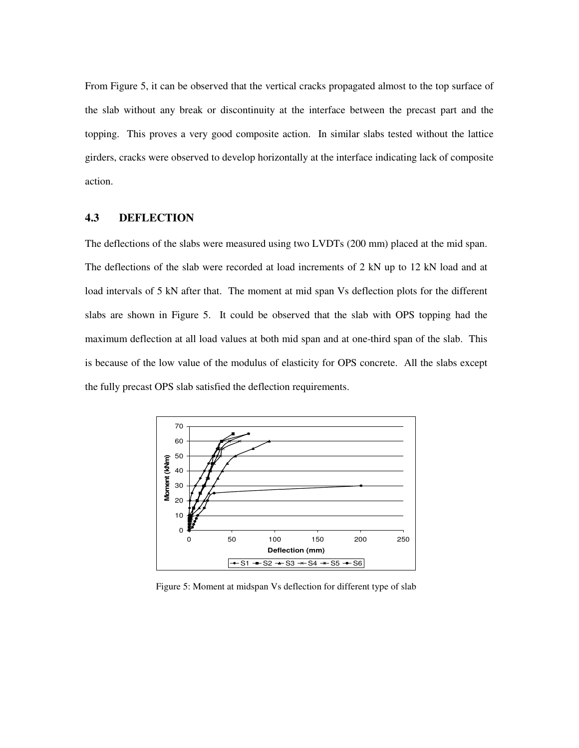From Figure 5, it can be observed that the vertical cracks propagated almost to the top surface of the slab without any break or discontinuity at the interface between the precast part and the topping. This proves a very good composite action. In similar slabs tested without the lattice girders, cracks were observed to develop horizontally at the interface indicating lack of composite action.

# **4.3 DEFLECTION**

The deflections of the slabs were measured using two LVDTs (200 mm) placed at the mid span. The deflections of the slab were recorded at load increments of 2 kN up to 12 kN load and at load intervals of 5 kN after that. The moment at mid span Vs deflection plots for the different slabs are shown in Figure 5. It could be observed that the slab with OPS topping had the maximum deflection at all load values at both mid span and at one-third span of the slab. This is because of the low value of the modulus of elasticity for OPS concrete. All the slabs except the fully precast OPS slab satisfied the deflection requirements.



Figure 5: Moment at midspan Vs deflection for different type of slab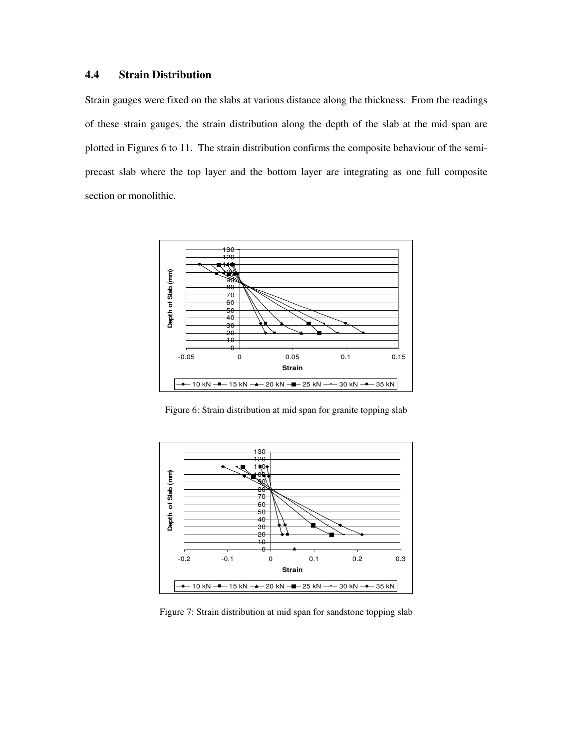# **4.4 Strain Distribution**

Strain gauges were fixed on the slabs at various distance along the thickness. From the readings of these strain gauges, the strain distribution along the depth of the slab at the mid span are plotted in Figures 6 to 11. The strain distribution confirms the composite behaviour of the semiprecast slab where the top layer and the bottom layer are integrating as one full composite section or monolithic.



Figure 6: Strain distribution at mid span for granite topping slab



Figure 7: Strain distribution at mid span for sandstone topping slab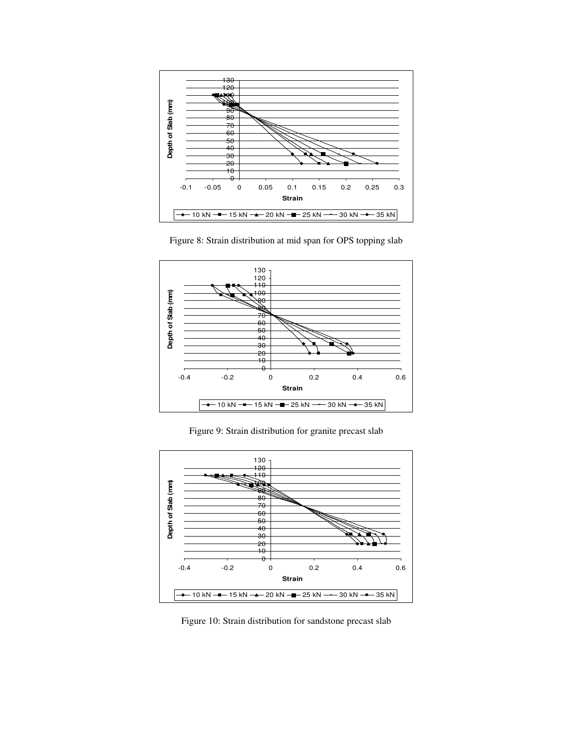

Figure 8: Strain distribution at mid span for OPS topping slab



Figure 9: Strain distribution for granite precast slab



Figure 10: Strain distribution for sandstone precast slab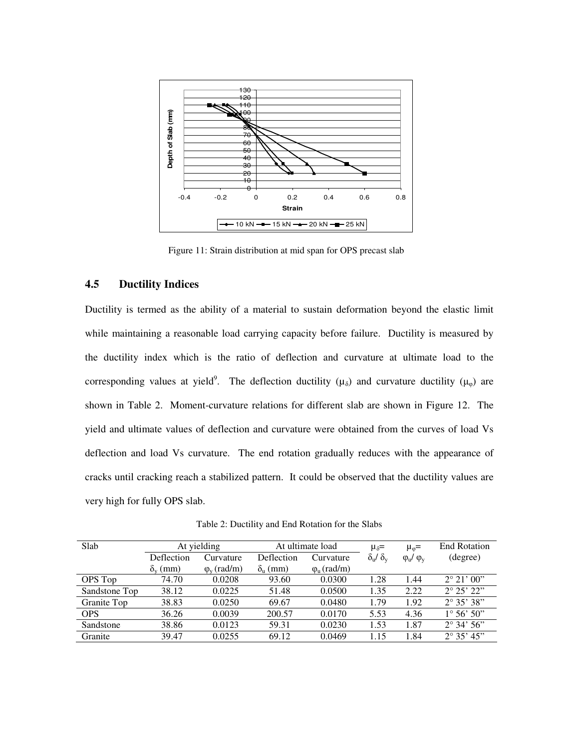

Figure 11: Strain distribution at mid span for OPS precast slab

### **4.5 Ductility Indices**

Ductility is termed as the ability of a material to sustain deformation beyond the elastic limit while maintaining a reasonable load carrying capacity before failure. Ductility is measured by the ductility index which is the ratio of deflection and curvature at ultimate load to the corresponding values at yield<sup>9</sup>. The deflection ductility ( $\mu_{\delta}$ ) and curvature ductility ( $\mu_{\varphi}$ ) are shown in Table 2. Moment-curvature relations for different slab are shown in Figure 12. The yield and ultimate values of deflection and curvature were obtained from the curves of load Vs deflection and load Vs curvature. The end rotation gradually reduces with the appearance of cracks until cracking reach a stabilized pattern. It could be observed that the ductility values are very high for fully OPS slab.

Table 2: Ductility and End Rotation for the Slabs

| Slab          | At yielding           |                       | At ultimate load      |                                | $\mu_{\delta} =$                | $\mu_{\omega} =$          | <b>End Rotation</b>  |
|---------------|-----------------------|-----------------------|-----------------------|--------------------------------|---------------------------------|---------------------------|----------------------|
|               | Deflection            | Curvature             | Deflection            | Curvature                      | $\delta_{\rm u}/\delta_{\rm v}$ | $\varphi_u$ / $\varphi_v$ | (degree)             |
|               | $\delta_{\rm v}$ (mm) | $\varphi_{v}$ (rad/m) | $\delta_{\rm u}$ (mm) | $\varphi$ <sub>u</sub> (rad/m) |                                 |                           |                      |
| OPS Top       | 74.70                 | 0.0208                | 93.60                 | 0.0300                         | 1.28                            | 1.44                      | $2^{\circ} 21' 00''$ |
| Sandstone Top | 38.12                 | 0.0225                | 51.48                 | 0.0500                         | 1.35                            | 2.22                      | $2^{\circ} 25' 22"$  |
| Granite Top   | 38.83                 | 0.0250                | 69.67                 | 0.0480                         | 1.79                            | 1.92                      | $2^{\circ} 35' 38"$  |
| <b>OPS</b>    | 36.26                 | 0.0039                | 200.57                | 0.0170                         | 5.53                            | 4.36                      | $1^{\circ} 56' 50''$ |
| Sandstone     | 38.86                 | 0.0123                | 59.31                 | 0.0230                         | 1.53                            | 1.87                      | $2^{\circ} 34' 56''$ |
| Granite       | 39.47                 | 0.0255                | 69.12                 | 0.0469                         | 1.15                            | 1.84                      | $2^{\circ}$ 35' 45"  |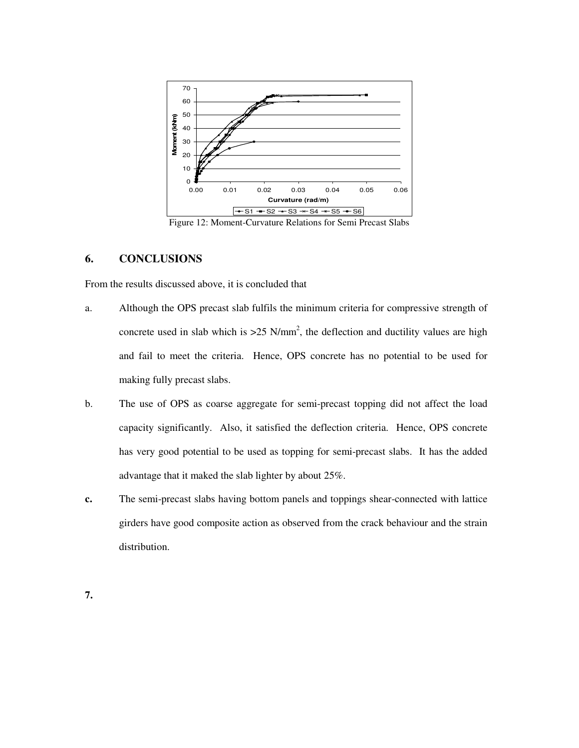

Figure 12: Moment-Curvature Relations for Semi Precast Slabs

## **6. CONCLUSIONS**

From the results discussed above, it is concluded that

- a. Although the OPS precast slab fulfils the minimum criteria for compressive strength of concrete used in slab which is  $>25$  N/mm<sup>2</sup>, the deflection and ductility values are high and fail to meet the criteria. Hence, OPS concrete has no potential to be used for making fully precast slabs.
- b. The use of OPS as coarse aggregate for semi-precast topping did not affect the load capacity significantly. Also, it satisfied the deflection criteria. Hence, OPS concrete has very good potential to be used as topping for semi-precast slabs. It has the added advantage that it maked the slab lighter by about 25%.
- **c.** The semi-precast slabs having bottom panels and toppings shear-connected with lattice girders have good composite action as observed from the crack behaviour and the strain distribution.

**7.**